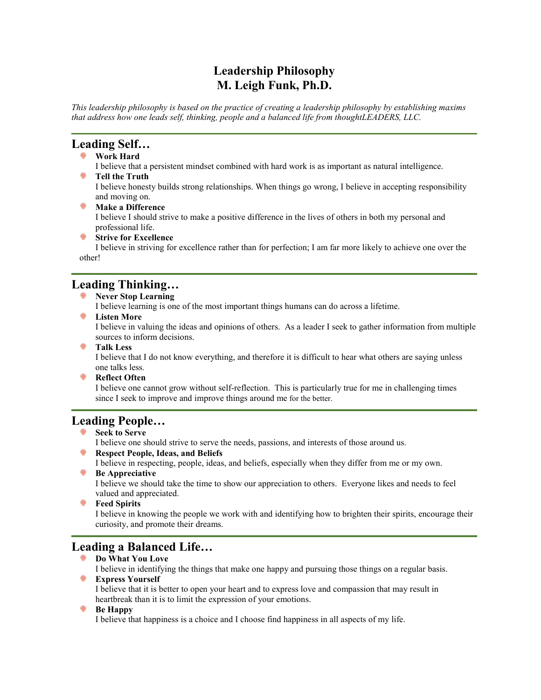# **Leadership Philosophy M. Leigh Funk, Ph.D.**

*This leadership philosophy is based on the practice of creating a leadership philosophy by establishing maxims that address how one leads self, thinking, people and a balanced life from thoughtLEADERS, LLC.* 

## **Leading Self…**

- **Work Hard**
- I believe that a persistent mindset combined with hard work is as important as natural intelligence. **P** Tell the Truth

I believe honesty builds strong relationships. When things go wrong, I believe in accepting responsibility and moving on.

- **Make a Difference** I believe I should strive to make a positive difference in the lives of others in both my personal and professional life.
- **Strive for Excellence**

I believe in striving for excellence rather than for perfection; I am far more likely to achieve one over the other!

## **Leading Thinking…**

**Never Stop Learning**

I believe learning is one of the most important things humans can do across a lifetime.

**Listen More**

I believe in valuing the ideas and opinions of others. As a leader I seek to gather information from multiple sources to inform decisions.

**Talk Less**

I believe that I do not know everything, and therefore it is difficult to hear what others are saying unless one talks less.

**Reflect Often** 

I believe one cannot grow without self-reflection. This is particularly true for me in challenging times since I seek to improve and improve things around me for the better.

### **Leading People…**

**Seek to Serve**

I believe one should strive to serve the needs, passions, and interests of those around us.

- **Respect People, Ideas, and Beliefs**
- I believe in respecting, people, ideas, and beliefs, especially when they differ from me or my own.
- **Be Appreciative**

I believe we should take the time to show our appreciation to others. Everyone likes and needs to feel valued and appreciated.

**Feed Spirits** 

I believe in knowing the people we work with and identifying how to brighten their spirits, encourage their curiosity, and promote their dreams.

# **Leading a Balanced Life…**

**Do What You Love**

I believe in identifying the things that make one happy and pursuing those things on a regular basis.

**Express Yourself**

I believe that it is better to open your heart and to express love and compassion that may result in heartbreak than it is to limit the expression of your emotions.

#### **Be Happy**

I believe that happiness is a choice and I choose find happiness in all aspects of my life.